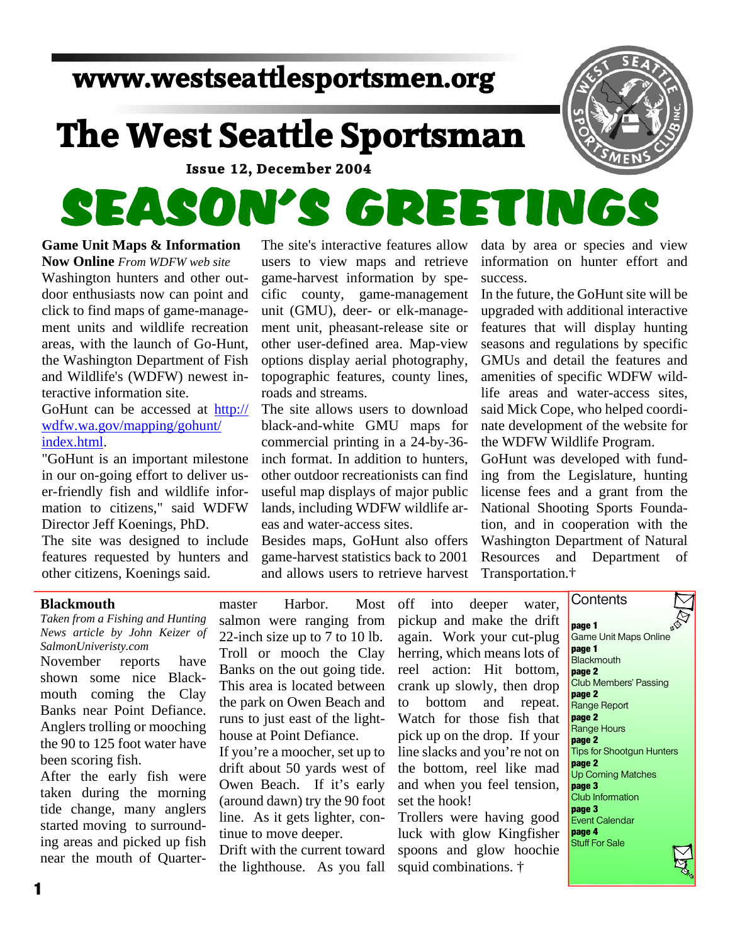## **www.westseattlesportsmen.org**

## **The West Seattle Sportsman**

**Issue 12, December 2004**

# SEASON'S GREETINGS

### **Game Unit Maps & Information**

**Now Online***From WDFW web site* Washington hunters and other out door enthusiasts now can point and click to find maps of game-manage ment units and wildlife recreation areas, with the launch of Go-Hunt, the Washington Department of Fish and Wildlife's (WDFW) newest in teractive information site.

GoHunt can be accessed at http:// wdfw.wa.gov/mapping/gohunt/ index.html.

"GoHunt is an important milestone in our on-going effort to deliver us er-friendly fish and wildlife infor mation to citizens," said WDFW Director Jeff Koenings, PhD.

The site was designed to include features requested by hunters and other citizens, Koenings said.

The site's interactive features allow users to view maps and retrieve game-harvest information by spe cific county, game-management unit (GMU), deer- or elk-manage ment unit, pheasant-release site or other user-defined area. Map-view options display aerial photography, topographic features, county lines, roads and streams.

The site allows users to download black-and-white GMU maps for commercial printing in a 24-by-36 inch format. In addition to hunters, other outdoor recreationists can find useful map displays of major public lands, including WDFW wildlife ar eas and water-access sites.

Besides maps, GoHunt also offers game-harvest statistics back to 2001 and allows users to retrieve harvest data by area or species and view information on hunter effort and success.

In the future, the GoHunt site will be upgraded with additional interactive features that will display hunting seasons and regulations by specific GMUs and detail the features and amenities of specific WDFW wild life areas and water-access sites, said Mick Cope, who helped coordi nate development of the website for the WDFW Wildlife Program.

GoHunt was developed with fund ing from the Legislature, hunting license fees and a grant from the National Shooting Sports Founda tion, and in cooperation with the Washington Department of Natural Resources and Department of Transportation.†

**Contents** 

#### **Blackmouth**

*Taken from a Fishing and Hunting News article by John Keizer of SalmonUniveristy.com*

November reports have shown some nice Black mouth coming the Clay Banks near Point Defiance. Anglers trolling or mooching the 90 to 125 foot water have been scoring fish.

After the early fish were taken during the morning tide change, many anglers started moving to surround ing areas and picked up fish near the mouth of Quartermaster Harbor. Most off salmon were ranging from 22-inch size up to 7 to 10 lb. Troll or mooch the Clay Banks on the out going tide. This area is located between the park on Owen Beach and runs to just east of the light house at Point Defiance.

If you're a moocher, set up to drift about 50 yards west of Owen Beach. If it's early (around dawn) try the 90 foot line. As it gets lighter, con tinue to move deeper.

Drift with the current toward the lighthouse. As you fall

into deeper water, pickup and make the drift again. Work your cut-plug herring, which means lots of reel action: Hit bottom, crank up slowly, then drop bottom and repeat. Watch for those fish that pick up on the drop. If your line slacks and you're not on the bottom, reel like mad and when you feel tension, set the hook!

Trollers were having good luck with glow Kingfisher spoons and glow hoochie squid combinations. †

**page 1** Game Unit Maps Online **page 1 Blackmouth page 2** Club Members' Passing **page 2** Range Report **page 2** Range Hours **page 2** Tips for Shootgun Hunters **page 2** Up Coming Matches **page 3** Club Information **page 3** Event Calendar **page 4** Stuff For Sale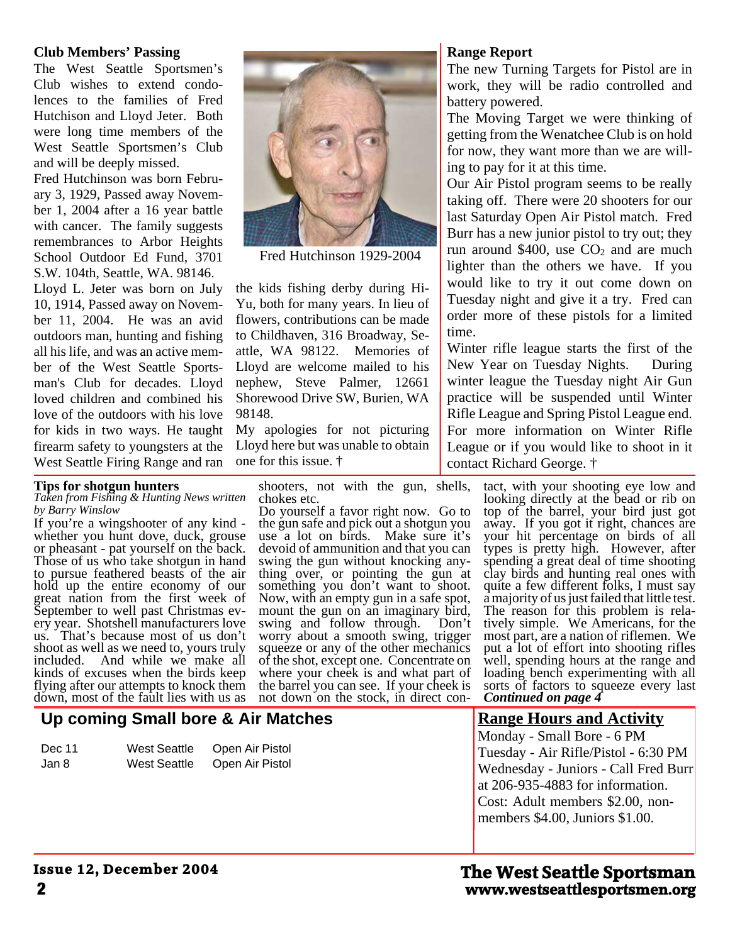#### **Club Members' Passing**

The West Seattle Sportsmen's Club wishes to extend condo lences to the families of Fred Hutchison and Lloyd Jeter. Both were long time members of the West Seattle Sportsmen's Club and will be deeply missed.

Fred Hutchinson was born Febru ary 3, 1929, Passed away Novem ber 1, 2004 after a 16 year battle with cancer. The family suggests remembrances to Arbor Heights School Outdoor Ed Fund, 3701 S.W. 104th, Seattle, WA. 98146.

Lloyd L. Jeter was born on July 10, 1914, Passed away on Novem ber 11, 2004. He was an avid outdoors man, hunting and fishing all his life, and was an active mem ber of the West Seattle Sports man's Club for decades. Lloyd loved children and combined his love of the outdoors with his love for kids in two ways. He taught firearm safety to youngsters at the West Seattle Firing Range and ran

#### **Tips for shotgun hunters**

*Taken from Fishing & Hunting News written by Barry Winslow*

If you're a wingshooter of any kind whether you hunt dove, duck, grouse or pheasant - pat yourself on the back. Those of us who take shotgun in hand to pursue feathered beasts of the air hold up the entire economy of our great nation from the first week of September to well past Christmas ev ery year. Shotshell manufacturers love us. That's because most of us don't shoot as well as we need to, yours truly included. And while we make all kinds of excuses when the birds keep flying after our attempts to knock them down, most of the fault lies with us as

**Up coming Small bore & Air Matches**

Dec 11 West Seattle Open Air Pistol Jan 8 West Seattle Open Air Pistol

#### shooters, not with the gun, shells, chokes etc.

Do yourself a favor right now. Go to the gun safe and pick out a shotgun you use a lot on birds. Make sure it's devoid of ammunition and that you can swing the gun without knocking any thing over, or pointing the gun at something you don't want to shoot. Now, with an empty gun in a safe spot, mount the gun on an imaginary bird, swing and follow through. Don't worry about a smooth swing, trigger squeeze or any of the other mechanics of the shot, except one. Concentrate on where your cheek is and what part of the barrel you can see. If your cheek is not down on the stock, in direct con-

#### **Range Report**

The new Turning Targets for Pistol are in work, they will be radio controlled and battery powered.

The Moving Target we were thinking of getting from the Wenatchee Club is on hold for now, they want more than we are will ing to pay for it at this time.

Our Air Pistol program seems to be really taking off. There were 20 shooters for our last Saturday Open Air Pistol match. Fred Burr has a new junior pistol to try out; they run around \$400, use  $CO<sub>2</sub>$  and are much lighter than the others we have. If you would like to try it out come down on Tuesday night and give it a try. Fred can order more of these pistols for a limited time.

Winter rifle league starts the first of the New Year on Tuesday Nights. During winter league the Tuesday night Air Gun practice will be suspended until Winter Rifle League and Spring Pistol League end. For more information on Winter Rifle League or if you would like to shoot in it contact Richard George. †

> tact, with your shooting eye low and looking directly at the bead or rib on top of the barrel, your bird just got away. If you got it right, chances are your hit percentage on birds of all types is pretty high. However, after spending a great deal of time shooting clay birds and hunting real ones with quite a few different folks, I must say a majority of us just failed that little test. The reason for this problem is rela tively simple. We Americans, for the most part, are a nation of riflemen. We put a lot of effort into shooting rifles well, spending hours at the range and loading bench experimenting with all sorts of factors to squeeze every last *Continued on page 4*

#### **Range Hours and Activity** Monday - Small Bore - 6 PM Tuesday - Air Rifle/Pistol - 6:30 PM Wednesday - Juniors - Call Fred Burr at 206-935-4883 for information. Cost: Adult members \$2.00, non members \$4.00, Juniors \$1.00.



Fred Hutchinson 1929-2004

the kids fishing derby during Hi- Yu, both for many years. In lieu of flowers, contributions can be made to Childhaven, 316 Broadway, Se attle, WA 98122. Memories of Lloyd are welcome mailed to his nephew, Steve Palmer, 12661 Shorewood Drive SW, Burien, WA

My apologies for not picturing Lloyd here but was unable to obtain

98148.

one for this issue. †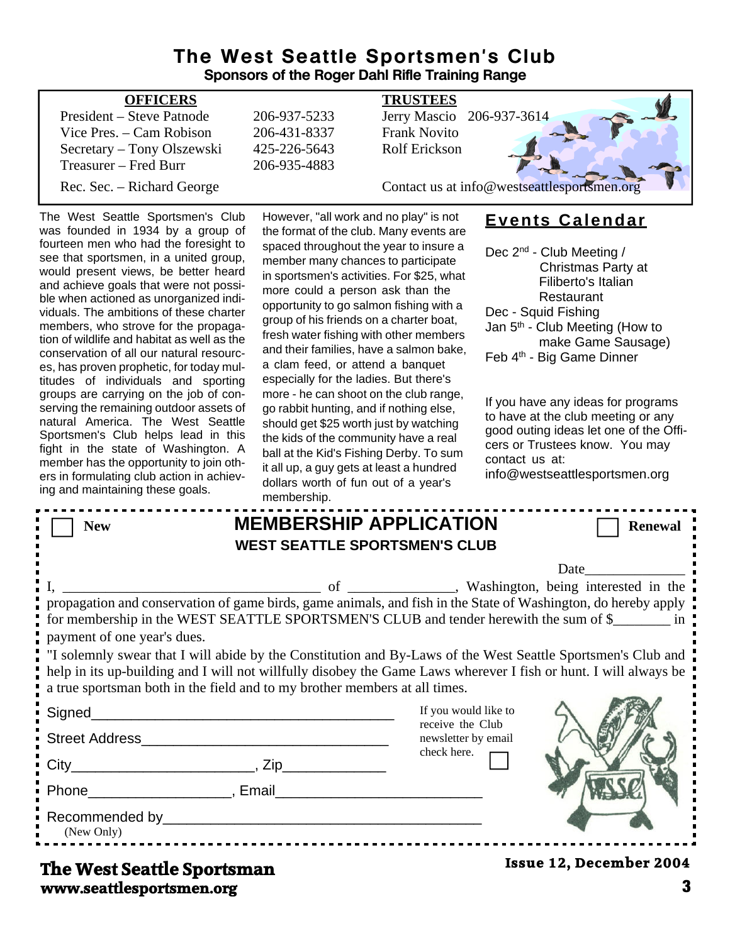#### **The West Seattle Sportsmen's Club Sponsors of the Roger Dahl Rifle Training Range**

| <b>OFFICERS</b>            |              | <b>TRUSTEES</b>                             |
|----------------------------|--------------|---------------------------------------------|
| President – Steve Patnode  | 206-937-5233 | Jerry Mascio 206-937-3614                   |
| Vice Pres. – Cam Robison   | 206-431-8337 | <b>Frank Novito</b>                         |
| Secretary – Tony Olszewski | 425-226-5643 | Rolf Erickson                               |
| Treasurer – Fred Burr      | 206-935-4883 |                                             |
| Rec. Sec. – Richard George |              | Contact us at info@westseattlesportsmen.org |

The West Seattle Sportsmen's Club was founded in 1934 by a group of fourteen men who had the foresight to see that sportsmen, in a united group, would present views, be better heard and achieve goals that were not possi ble when actioned as unorganized indi viduals. The ambitions of these charter members, who strove for the propaga tion of wildlife and habitat as well as the conservation of all our natural resourc es, has proven prophetic, for today mul titudes of individuals and sporting groups are carrying on the job of con serving the remaining outdoor assets of natural America. The West Seattle Sportsmen's Club helps lead in this fight in the state of Washington. A member has the opportunity to join oth ers in formulating club action in achiev ing and maintaining these goals.

However, "all work and no play" is not the format of the club. Many events are spaced throughout the year to insure a member many chances to participate in sportsmen's activities. For \$25, what more could a person ask than the opportunity to go salmon fishing with a group of his friends on a charter boat, fresh water fishing with other members and their families, have a salmon bake, a clam feed, or attend a banquet especially for the ladies. But there's more - he can shoot on the club range, go rabbit hunting, and if nothing else, should get \$25 worth just by watching the kids of the community have a real ball at the Kid's Fishing Derby. To sum it all up, a guy gets at least a hundred dollars worth of fun out of a year's membership.

#### **Events Calendar**

Dec 2<sup>nd</sup> - Club Meeting / Christmas Party at Filiberto's Italian **Restaurant** Dec - Squid Fishing Jan 5th - Club Meeting (How to make Game Sausage) Feb 4th - Big Game Dinner

If you have any ideas for programs to have at the club meeting or any good outing ideas let one of the Offi cers or Trustees know. You may contact us at:

info@westseattlesportsmen.org

| <b>New</b>                                                                                                                                                                                                                                                                                                                                                                                                                                                                                                                                                                                                    |                                                                   | <b>MEMBERSHIP APPLICATION</b><br><b>WEST SEATTLE SPORTSMEN'S CLUB</b> | <b>Renewal</b>                 |  |  |
|---------------------------------------------------------------------------------------------------------------------------------------------------------------------------------------------------------------------------------------------------------------------------------------------------------------------------------------------------------------------------------------------------------------------------------------------------------------------------------------------------------------------------------------------------------------------------------------------------------------|-------------------------------------------------------------------|-----------------------------------------------------------------------|--------------------------------|--|--|
| of _________, Washington, being interested in the<br>propagation and conservation of game birds, game animals, and fish in the State of Washington, do hereby apply<br>for membership in the WEST SEATTLE SPORTSMEN'S CLUB and tender herewith the sum of \$<br>payment of one year's dues.<br>"I solemnly swear that I will abide by the Constitution and By-Laws of the West Seattle Sportsmen's Club and<br>help in its up-building and I will not willfully disobey the Game Laws wherever I fish or hunt. I will always be<br>a true sportsman both in the field and to my brother members at all times. |                                                                   |                                                                       |                                |  |  |
| Signed_________<br>Street Address Management and Communications of the Street Address                                                                                                                                                                                                                                                                                                                                                                                                                                                                                                                         | <u> 1989 - Johann John Stone, mars eta biztanleria (h. 1989).</u> | If you would like to<br>receive the Club<br>newsletter by email       |                                |  |  |
|                                                                                                                                                                                                                                                                                                                                                                                                                                                                                                                                                                                                               |                                                                   | check here.                                                           |                                |  |  |
|                                                                                                                                                                                                                                                                                                                                                                                                                                                                                                                                                                                                               |                                                                   |                                                                       |                                |  |  |
| Recommended by President President President President President President President President President President President President President President President President President President President President Preside<br>(New Only)                                                                                                                                                                                                                                                                                                                                                                  |                                                                   |                                                                       |                                |  |  |
| The West Seattle Sportsman                                                                                                                                                                                                                                                                                                                                                                                                                                                                                                                                                                                    |                                                                   |                                                                       | <b>Issue 12, December 2004</b> |  |  |

**www.seattlesportsmen.org 3**